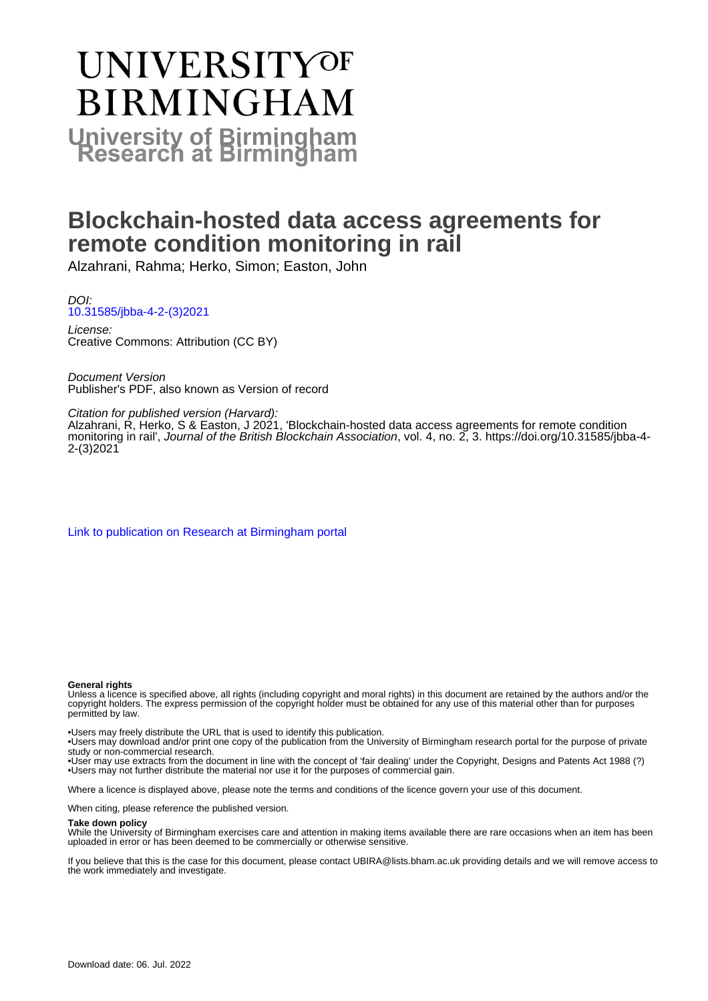# **UNIVERSITYOF BIRMINGHAM University of Birmingham**

## **Blockchain-hosted data access agreements for remote condition monitoring in rail**

Alzahrani, Rahma; Herko, Simon; Easton, John

DOI: [10.31585/jbba-4-2-\(3\)2021](https://doi.org/10.31585/jbba-4-2-(3)2021)

License: Creative Commons: Attribution (CC BY)

Document Version Publisher's PDF, also known as Version of record

Citation for published version (Harvard):

Alzahrani, R, Herko, S & Easton, J 2021, 'Blockchain-hosted data access agreements for remote condition monitoring in rail', Journal of the British Blockchain Association, vol. 4, no. 2, 3. [https://doi.org/10.31585/jbba-4-](https://doi.org/10.31585/jbba-4-2-(3)2021) [2-\(3\)2021](https://doi.org/10.31585/jbba-4-2-(3)2021)

[Link to publication on Research at Birmingham portal](https://birmingham.elsevierpure.com/en/publications/252c3782-d614-4ff8-9b71-aa83279cb308)

#### **General rights**

Unless a licence is specified above, all rights (including copyright and moral rights) in this document are retained by the authors and/or the copyright holders. The express permission of the copyright holder must be obtained for any use of this material other than for purposes permitted by law.

• Users may freely distribute the URL that is used to identify this publication.

• Users may download and/or print one copy of the publication from the University of Birmingham research portal for the purpose of private study or non-commercial research.

• User may use extracts from the document in line with the concept of 'fair dealing' under the Copyright, Designs and Patents Act 1988 (?) • Users may not further distribute the material nor use it for the purposes of commercial gain.

Where a licence is displayed above, please note the terms and conditions of the licence govern your use of this document.

When citing, please reference the published version.

#### **Take down policy**

While the University of Birmingham exercises care and attention in making items available there are rare occasions when an item has been uploaded in error or has been deemed to be commercially or otherwise sensitive.

If you believe that this is the case for this document, please contact UBIRA@lists.bham.ac.uk providing details and we will remove access to the work immediately and investigate.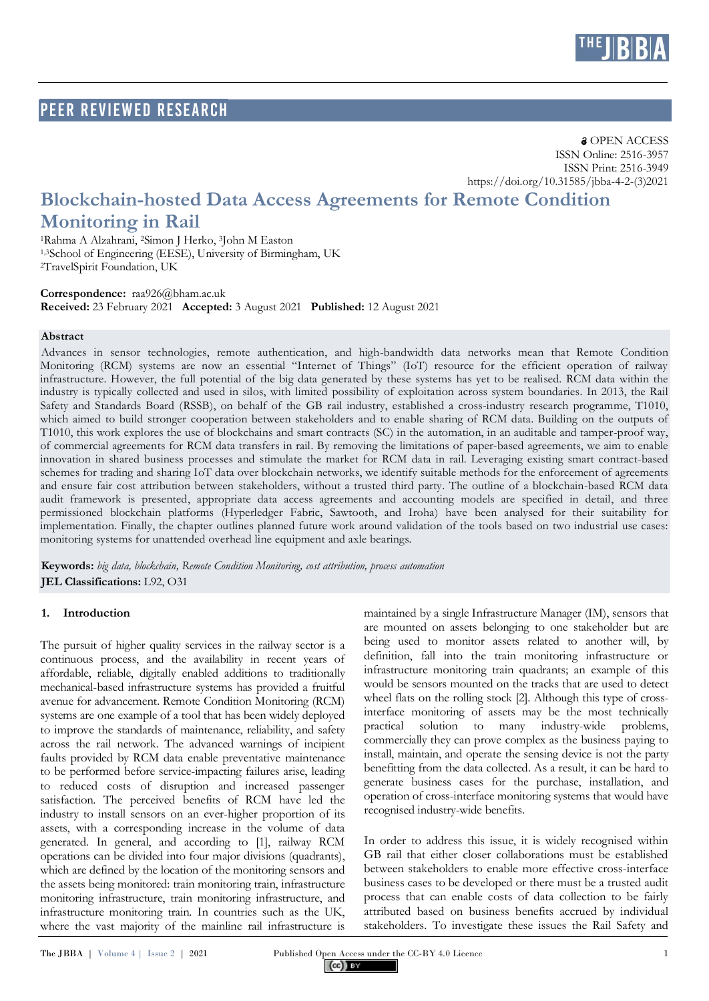

### PEER Reviewed RESEARCH

## **Blockchain-hosted Data Access Agreements for Remote Condition Monitoring in Rail**

<sup>1</sup>Rahma A Alzahrani, <sup>2</sup>Simon J Herko, <sup>3</sup>John M Easton 1,3School of Engineering (EESE), University of Birmingham, UK <sup>2</sup>TravelSpirit Foundation, UK

**Correspondence:** [raa926@bham.ac.uk](mailto:raa926@bham.ac.uk) **Received:** 23 February 2021 **Accepted:** 3 August 2021 **Published:** 12 August 2021

#### **Abstract**

Advances in sensor technologies, remote authentication, and high-bandwidth data networks mean that Remote Condition Monitoring (RCM) systems are now an essential "Internet of Things" (IoT) resource for the efficient operation of railway infrastructure. However, the full potential of the big data generated by these systems has yet to be realised. RCM data within the industry is typically collected and used in silos, with limited possibility of exploitation across system boundaries. In 2013, the Rail Safety and Standards Board (RSSB), on behalf of the GB rail industry, established a cross-industry research programme, T1010, which aimed to build stronger cooperation between stakeholders and to enable sharing of RCM data. Building on the outputs of T1010, this work explores the use of blockchains and smart contracts (SC) in the automation, in an auditable and tamper-proof way, of commercial agreements for RCM data transfers in rail. By removing the limitations of paper-based agreements, we aim to enable innovation in shared business processes and stimulate the market for RCM data in rail. Leveraging existing smart contract-based schemes for trading and sharing IoT data over blockchain networks, we identify suitable methods for the enforcement of agreements and ensure fair cost attribution between stakeholders, without a trusted third party. The outline of a blockchain-based RCM data audit framework is presented, appropriate data access agreements and accounting models are specified in detail, and three permissioned blockchain platforms (Hyperledger Fabric, Sawtooth, and Iroha) have been analysed for their suitability for implementation. Finally, the chapter outlines planned future work around validation of the tools based on two industrial use cases: monitoring systems for unattended overhead line equipment and axle bearings.

**Keywords:** *big data, blockchain, Remote Condition Monitoring, cost attribution, process automation* **JEL Classifications:** L92, O31

#### **1. Introduction**

The pursuit of higher quality services in the railway sector is a continuous process, and the availability in recent years of affordable, reliable, digitally enabled additions to traditionally mechanical-based infrastructure systems has provided a fruitful avenue for advancement. Remote Condition Monitoring (RCM) systems are one example of a tool that has been widely deployed to improve the standards of maintenance, reliability, and safety across the rail network. The advanced warnings of incipient faults provided by RCM data enable preventative maintenance to be performed before service-impacting failures arise, leading to reduced costs of disruption and increased passenger satisfaction. The perceived benefits of RCM have led the industry to install sensors on an ever-higher proportion of its assets, with a corresponding increase in the volume of data generated. In general, and according to [1], railway RCM operations can be divided into four major divisions (quadrants), which are defined by the location of the monitoring sensors and the assets being monitored: train monitoring train, infrastructure monitoring infrastructure, train monitoring infrastructure, and infrastructure monitoring train. In countries such as the UK, where the vast majority of the mainline rail infrastructure is maintained by a single Infrastructure Manager (IM), sensors that are mounted on assets belonging to one stakeholder but are being used to monitor assets related to another will, by definition, fall into the train monitoring infrastructure or infrastructure monitoring train quadrants; an example of this would be sensors mounted on the tracks that are used to detect wheel flats on the rolling stock [2]. Although this type of crossinterface monitoring of assets may be the most technically practical solution to many industry-wide problems, commercially they can prove complex as the business paying to install, maintain, and operate the sensing device is not the party benefitting from the data collected. As a result, it can be hard to generate business cases for the purchase, installation, and operation of cross-interface monitoring systems that would have recognised industry-wide benefits.

In order to address this issue, it is widely recognised within GB rail that either closer collaborations must be established between stakeholders to enable more effective cross-interface business cases to be developed or there must be a trusted audit process that can enable costs of data collection to be fairly attributed based on business benefits accrued by individual stakeholders. To investigate these issues the Rail Safety and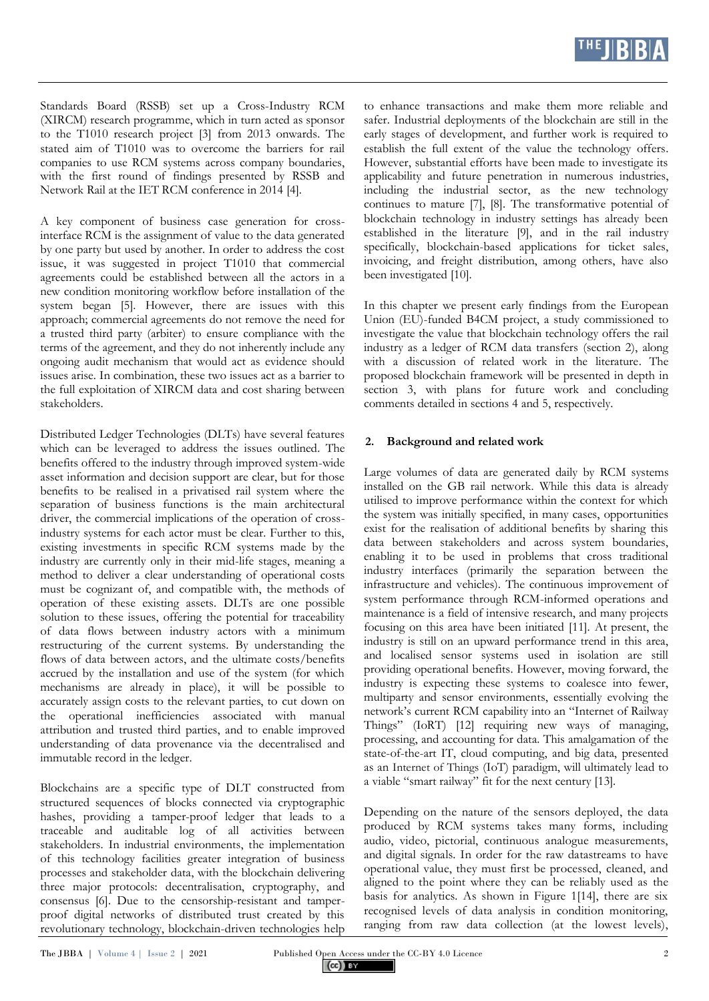

Standards Board (RSSB) set up a Cross-Industry RCM (XIRCM) research programme, which in turn acted as sponsor to the T1010 research project [3] from 2013 onwards. The stated aim of T1010 was to overcome the barriers for rail companies to use RCM systems across company boundaries, with the first round of findings presented by RSSB and Network Rail at the IET RCM conference in 2014 [4].

A key component of business case generation for crossinterface RCM is the assignment of value to the data generated by one party but used by another. In order to address the cost issue, it was suggested in project T1010 that commercial agreements could be established between all the actors in a new condition monitoring workflow before installation of the system began [5]. However, there are issues with this approach; commercial agreements do not remove the need for a trusted third party (arbiter) to ensure compliance with the terms of the agreement, and they do not inherently include any ongoing audit mechanism that would act as evidence should issues arise. In combination, these two issues act as a barrier to the full exploitation of XIRCM data and cost sharing between stakeholders.

Distributed Ledger Technologies (DLTs) have several features which can be leveraged to address the issues outlined. The benefits offered to the industry through improved system-wide asset information and decision support are clear, but for those benefits to be realised in a privatised rail system where the separation of business functions is the main architectural driver, the commercial implications of the operation of crossindustry systems for each actor must be clear. Further to this, existing investments in specific RCM systems made by the industry are currently only in their mid-life stages, meaning a method to deliver a clear understanding of operational costs must be cognizant of, and compatible with, the methods of operation of these existing assets. DLTs are one possible solution to these issues, offering the potential for traceability of data flows between industry actors with a minimum restructuring of the current systems. By understanding the flows of data between actors, and the ultimate costs/benefits accrued by the installation and use of the system (for which mechanisms are already in place), it will be possible to accurately assign costs to the relevant parties, to cut down on the operational inefficiencies associated with manual attribution and trusted third parties, and to enable improved understanding of data provenance via the decentralised and immutable record in the ledger.

Blockchains are a specific type of DLT constructed from structured sequences of blocks connected via cryptographic hashes, providing a tamper-proof ledger that leads to a traceable and auditable log of all activities between stakeholders. In industrial environments, the implementation of this technology facilities greater integration of business processes and stakeholder data, with the blockchain delivering three major protocols: decentralisation, cryptography, and consensus [6]. Due to the censorship-resistant and tamperproof digital networks of distributed trust created by this revolutionary technology, blockchain-driven technologies help to enhance transactions and make them more reliable and safer. Industrial deployments of the blockchain are still in the early stages of development, and further work is required to establish the full extent of the value the technology offers. However, substantial efforts have been made to investigate its applicability and future penetration in numerous industries, including the industrial sector, as the new technology continues to mature [7], [8]. The transformative potential of blockchain technology in industry settings has already been established in the literature [9], and in the rail industry specifically, blockchain-based applications for ticket sales, invoicing, and freight distribution, among others, have also been investigated [10].

In this chapter we present early findings from the European Union (EU)-funded B4CM project, a study commissioned to investigate the value that blockchain technology offers the rail industry as a ledger of RCM data transfers (section 2), along with a discussion of related work in the literature. The proposed blockchain framework will be presented in depth in section 3, with plans for future work and concluding comments detailed in sections 4 and 5, respectively.

#### **2. Background and related work**

Large volumes of data are generated daily by RCM systems installed on the GB rail network. While this data is already utilised to improve performance within the context for which the system was initially specified, in many cases, opportunities exist for the realisation of additional benefits by sharing this data between stakeholders and across system boundaries, enabling it to be used in problems that cross traditional industry interfaces (primarily the separation between the infrastructure and vehicles). The continuous improvement of system performance through RCM-informed operations and maintenance is a field of intensive research, and many projects focusing on this area have been initiated [11]. At present, the industry is still on an upward performance trend in this area, and localised sensor systems used in isolation are still providing operational benefits. However, moving forward, the industry is expecting these systems to coalesce into fewer, multiparty and sensor environments, essentially evolving the network's current RCM capability into an "Internet of Railway Things" (IoRT) [12] requiring new ways of managing, processing, and accounting for data. This amalgamation of the state-of-the-art IT, cloud computing, and big data, presented as an Internet of Things (IoT) paradigm, will ultimately lead to a viable "smart railway" fit for the next century [13].

Depending on the nature of the sensors deployed, the data produced by RCM systems takes many forms, including audio, video, pictorial, continuous analogue measurements, and digital signals. In order for the raw datastreams to have operational value, they must first be processed, cleaned, and aligned to the point where they can be reliably used as the basis for analytics. As shown in Figure 1[14], there are six recognised levels of data analysis in condition monitoring, ranging from raw data collection (at the lowest levels),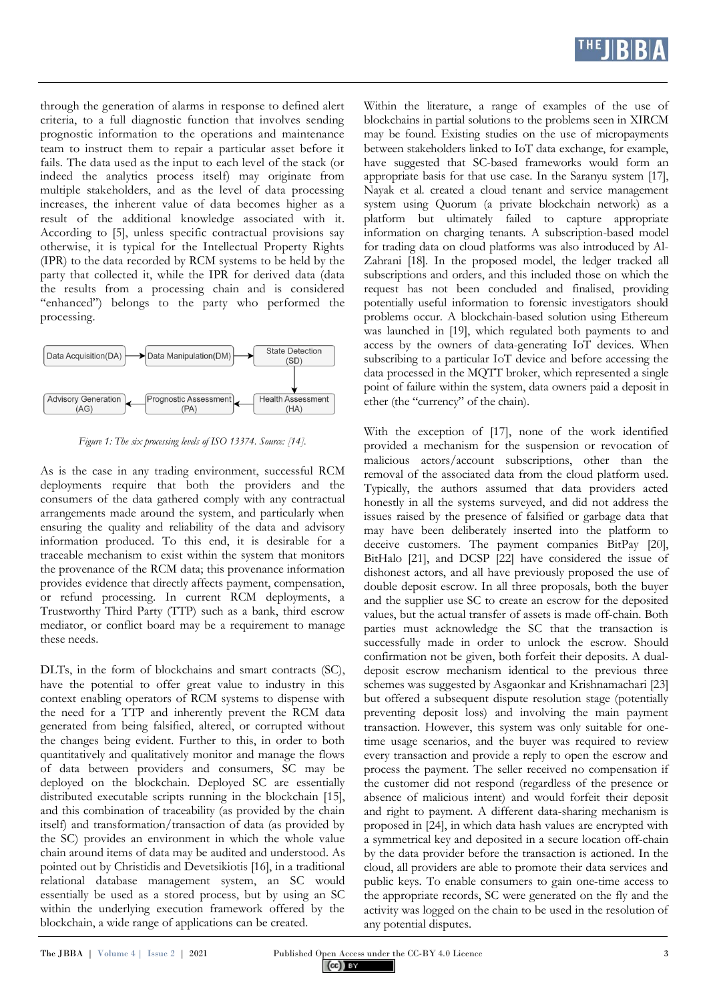

through the generation of alarms in response to defined alert criteria, to a full diagnostic function that involves sending prognostic information to the operations and maintenance team to instruct them to repair a particular asset before it fails. The data used as the input to each level of the stack (or indeed the analytics process itself) may originate from multiple stakeholders, and as the level of data processing increases, the inherent value of data becomes higher as a result of the additional knowledge associated with it. According to [5], unless specific contractual provisions say otherwise, it is typical for the Intellectual Property Rights (IPR) to the data recorded by RCM systems to be held by the party that collected it, while the IPR for derived data (data the results from a processing chain and is considered "enhanced") belongs to the party who performed the processing.



*Figure 1: The six processing levels of ISO 13374. Source: [14].*

As is the case in any trading environment, successful RCM deployments require that both the providers and the consumers of the data gathered comply with any contractual arrangements made around the system, and particularly when ensuring the quality and reliability of the data and advisory information produced. To this end, it is desirable for a traceable mechanism to exist within the system that monitors the provenance of the RCM data; this provenance information provides evidence that directly affects payment, compensation, or refund processing. In current RCM deployments, a Trustworthy Third Party (TTP) such as a bank, third escrow mediator, or conflict board may be a requirement to manage these needs.

DLTs, in the form of blockchains and smart contracts (SC), have the potential to offer great value to industry in this context enabling operators of RCM systems to dispense with the need for a TTP and inherently prevent the RCM data generated from being falsified, altered, or corrupted without the changes being evident. Further to this, in order to both quantitatively and qualitatively monitor and manage the flows of data between providers and consumers, SC may be deployed on the blockchain. Deployed SC are essentially distributed executable scripts running in the blockchain [15], and this combination of traceability (as provided by the chain itself) and transformation/transaction of data (as provided by the SC) provides an environment in which the whole value chain around items of data may be audited and understood. As pointed out by Christidis and Devetsikiotis [16], in a traditional relational database management system, an SC would essentially be used as a stored process, but by using an SC within the underlying execution framework offered by the blockchain, a wide range of applications can be created.

Within the literature, a range of examples of the use of blockchains in partial solutions to the problems seen in XIRCM may be found. Existing studies on the use of micropayments between stakeholders linked to IoT data exchange, for example, have suggested that SC-based frameworks would form an appropriate basis for that use case. In the Saranyu system [17], Nayak et al. created a cloud tenant and service management system using Quorum (a private blockchain network) as a platform but ultimately failed to capture appropriate information on charging tenants. A subscription-based model for trading data on cloud platforms was also introduced by Al-Zahrani [18]. In the proposed model, the ledger tracked all subscriptions and orders, and this included those on which the request has not been concluded and finalised, providing potentially useful information to forensic investigators should problems occur. A blockchain-based solution using Ethereum was launched in [19], which regulated both payments to and access by the owners of data-generating IoT devices. When subscribing to a particular IoT device and before accessing the data processed in the MQTT broker, which represented a single point of failure within the system, data owners paid a deposit in ether (the "currency" of the chain).

With the exception of [17], none of the work identified provided a mechanism for the suspension or revocation of malicious actors/account subscriptions, other than the removal of the associated data from the cloud platform used. Typically, the authors assumed that data providers acted honestly in all the systems surveyed, and did not address the issues raised by the presence of falsified or garbage data that may have been deliberately inserted into the platform to deceive customers. The payment companies BitPay [20], BitHalo [21], and DCSP [22] have considered the issue of dishonest actors, and all have previously proposed the use of double deposit escrow. In all three proposals, both the buyer and the supplier use SC to create an escrow for the deposited values, but the actual transfer of assets is made off-chain. Both parties must acknowledge the SC that the transaction is successfully made in order to unlock the escrow. Should confirmation not be given, both forfeit their deposits. A dualdeposit escrow mechanism identical to the previous three schemes was suggested by Asgaonkar and Krishnamachari [23] but offered a subsequent dispute resolution stage (potentially preventing deposit loss) and involving the main payment transaction. However, this system was only suitable for onetime usage scenarios, and the buyer was required to review every transaction and provide a reply to open the escrow and process the payment. The seller received no compensation if the customer did not respond (regardless of the presence or absence of malicious intent) and would forfeit their deposit and right to payment. A different data-sharing mechanism is proposed in [24], in which data hash values are encrypted with a symmetrical key and deposited in a secure location off-chain by the data provider before the transaction is actioned. In the cloud, all providers are able to promote their data services and public keys. To enable consumers to gain one-time access to the appropriate records, SC were generated on the fly and the activity was logged on the chain to be used in the resolution of any potential disputes.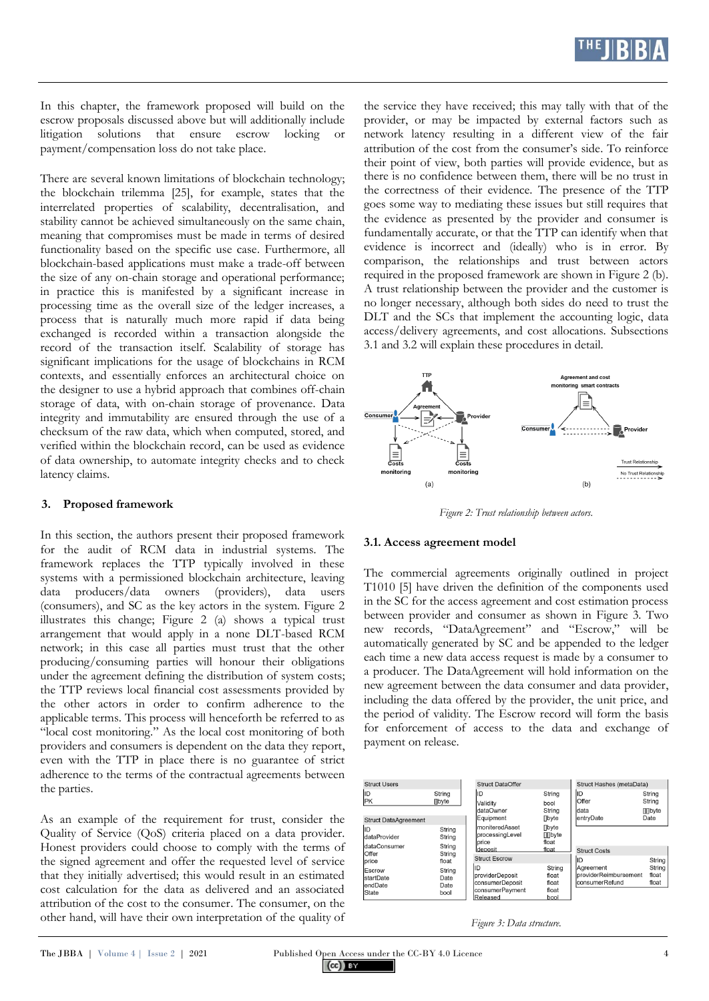

In this chapter, the framework proposed will build on the escrow proposals discussed above but will additionally include litigation solutions that ensure escrow locking or payment/compensation loss do not take place.

There are several known limitations of blockchain technology; the blockchain trilemma [25], for example, states that the interrelated properties of scalability, decentralisation, and stability cannot be achieved simultaneously on the same chain, meaning that compromises must be made in terms of desired functionality based on the specific use case. Furthermore, all blockchain-based applications must make a trade-off between the size of any on-chain storage and operational performance; in practice this is manifested by a significant increase in processing time as the overall size of the ledger increases, a process that is naturally much more rapid if data being exchanged is recorded within a transaction alongside the record of the transaction itself. Scalability of storage has significant implications for the usage of blockchains in RCM contexts, and essentially enforces an architectural choice on the designer to use a hybrid approach that combines off-chain storage of data, with on-chain storage of provenance. Data integrity and immutability are ensured through the use of a checksum of the raw data, which when computed, stored, and verified within the blockchain record, can be used as evidence of data ownership, to automate integrity checks and to check latency claims.

#### **3. Proposed framework**

In this section, the authors present their proposed framework for the audit of RCM data in industrial systems. The framework replaces the TTP typically involved in these systems with a permissioned blockchain architecture, leaving data producers/data owners (providers), data users (consumers), and SC as the key actors in the system. Figure 2 illustrates this change; Figure 2 (a) shows a typical trust arrangement that would apply in a none DLT-based RCM network; in this case all parties must trust that the other producing/consuming parties will honour their obligations under the agreement defining the distribution of system costs; the TTP reviews local financial cost assessments provided by the other actors in order to confirm adherence to the applicable terms. This process will henceforth be referred to as "local cost monitoring." As the local cost monitoring of both providers and consumers is dependent on the data they report, even with the TTP in place there is no guarantee of strict adherence to the terms of the contractual agreements between the parties.

As an example of the requirement for trust, consider the Quality of Service (QoS) criteria placed on a data provider. Honest providers could choose to comply with the terms of the signed agreement and offer the requested level of service that they initially advertised; this would result in an estimated cost calculation for the data as delivered and an associated attribution of the cost to the consumer. The consumer, on the other hand, will have their own interpretation of the quality of the service they have received; this may tally with that of the provider, or may be impacted by external factors such as network latency resulting in a different view of the fair attribution of the cost from the consumer's side. To reinforce their point of view, both parties will provide evidence, but as there is no confidence between them, there will be no trust in the correctness of their evidence. The presence of the TTP goes some way to mediating these issues but still requires that the evidence as presented by the provider and consumer is fundamentally accurate, or that the TTP can identify when that evidence is incorrect and (ideally) who is in error. By comparison, the relationships and trust between actors required in the proposed framework are shown in Figure 2 (b). A trust relationship between the provider and the customer is no longer necessary, although both sides do need to trust the DLT and the SCs that implement the accounting logic, data access/delivery agreements, and cost allocations. Subsections 3.1 and 3.2 will explain these procedures in detail.



*Figure 2: Trust relationship between actors.*

#### **3.1. Access agreement model**

The commercial agreements originally outlined in project T1010 [5] have driven the definition of the components used in the SC for the access agreement and cost estimation process between provider and consumer as shown in Figure 3. Two new records, "DataAgreement" and "Escrow," will be automatically generated by SC and be appended to the ledger each time a new data access request is made by a consumer to a producer. The DataAgreement will hold information on the new agreement between the data consumer and data provider, including the data offered by the provider, the unit price, and the period of validity. The Escrow record will form the basis for enforcement of access to the data and exchange of payment on release.



*Figure 3: Data structure.*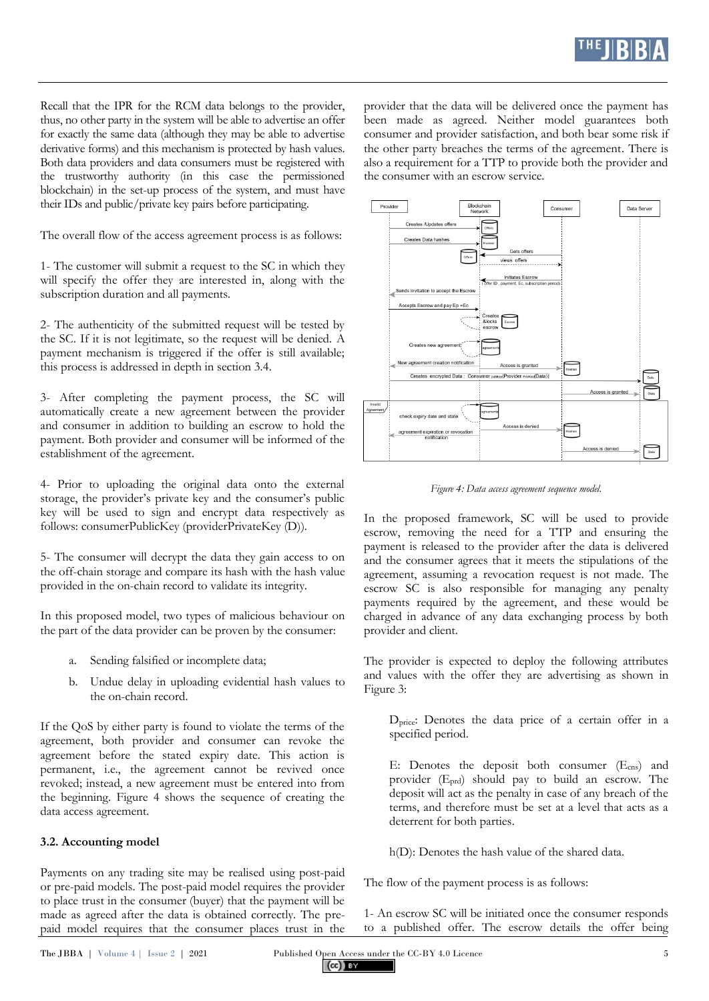

Recall that the IPR for the RCM data belongs to the provider, thus, no other party in the system will be able to advertise an offer for exactly the same data (although they may be able to advertise derivative forms) and this mechanism is protected by hash values. Both data providers and data consumers must be registered with the trustworthy authority (in this case the permissioned blockchain) in the set-up process of the system, and must have their IDs and public/private key pairs before participating.

The overall flow of the access agreement process is as follows:

1- The customer will submit a request to the SC in which they will specify the offer they are interested in, along with the subscription duration and all payments.

2- The authenticity of the submitted request will be tested by the SC. If it is not legitimate, so the request will be denied. A payment mechanism is triggered if the offer is still available; this process is addressed in depth in section 3.4.

3- After completing the payment process, the SC will automatically create a new agreement between the provider and consumer in addition to building an escrow to hold the payment. Both provider and consumer will be informed of the establishment of the agreement.

4- Prior to uploading the original data onto the external storage, the provider's private key and the consumer's public key will be used to sign and encrypt data respectively as follows: consumerPublicKey (providerPrivateKey (D)).

5- The consumer will decrypt the data they gain access to on the off-chain storage and compare its hash with the hash value provided in the on-chain record to validate its integrity.

In this proposed model, two types of malicious behaviour on the part of the data provider can be proven by the consumer:

- a. Sending falsified or incomplete data;
- b. Undue delay in uploading evidential hash values to the on-chain record.

If the QoS by either party is found to violate the terms of the agreement, both provider and consumer can revoke the agreement before the stated expiry date. This action is permanent, i.e., the agreement cannot be revived once revoked; instead, a new agreement must be entered into from the beginning. Figure 4 shows the sequence of creating the data access agreement.

#### **3.2. Accounting model**

Payments on any trading site may be realised using post-paid or pre-paid models. The post-paid model requires the provider to place trust in the consumer (buyer) that the payment will be made as agreed after the data is obtained correctly. The prepaid model requires that the consumer places trust in the

provider that the data will be delivered once the payment has been made as agreed. Neither model guarantees both consumer and provider satisfaction, and both bear some risk if the other party breaches the terms of the agreement. There is also a requirement for a TTP to provide both the provider and the consumer with an escrow service.



*Figure 4: Data access agreement sequence model.*

In the proposed framework, SC will be used to provide escrow, removing the need for a TTP and ensuring the payment is released to the provider after the data is delivered and the consumer agrees that it meets the stipulations of the agreement, assuming a revocation request is not made. The escrow SC is also responsible for managing any penalty payments required by the agreement, and these would be charged in advance of any data exchanging process by both provider and client.

The provider is expected to deploy the following attributes and values with the offer they are advertising as shown in Figure 3:

Dprice: Denotes the data price of a certain offer in a specified period.

E: Denotes the deposit both consumer (Ecns) and provider (Eprd) should pay to build an escrow. The deposit will act as the penalty in case of any breach of the terms, and therefore must be set at a level that acts as a deterrent for both parties.

h(D): Denotes the hash value of the shared data.

The flow of the payment process is as follows:

1- An escrow SC will be initiated once the consumer responds to a published offer. The escrow details the offer being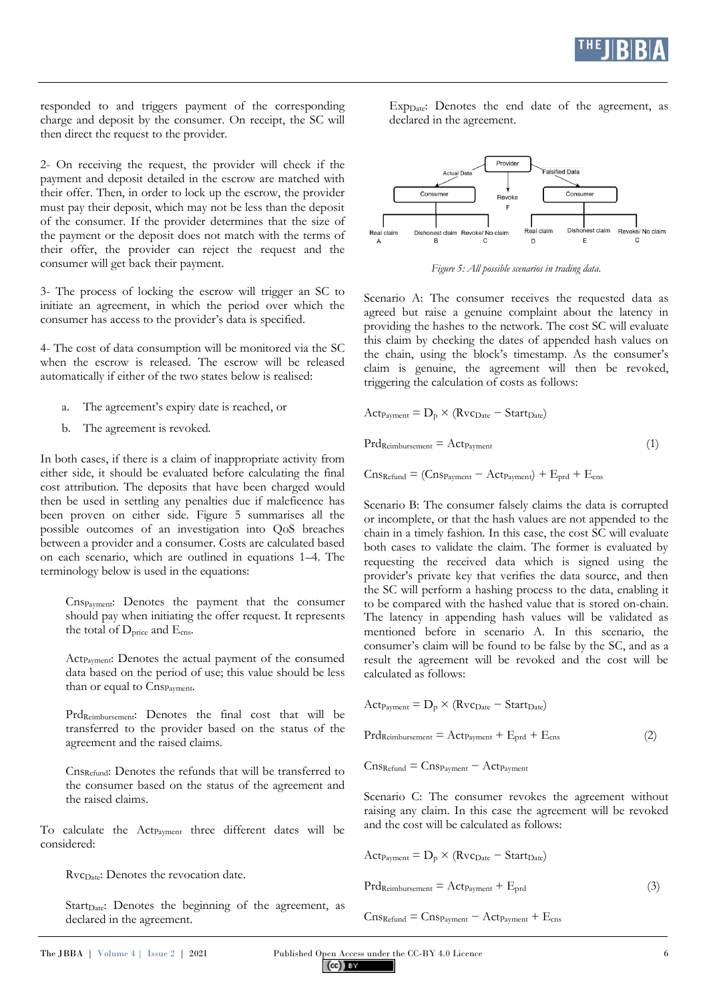

responded to and triggers payment of the corresponding charge and deposit by the consumer. On receipt, the SC will then direct the request to the provider.

2- On receiving the request, the provider will check if the payment and deposit detailed in the escrow are matched with their offer. Then, in order to lock up the escrow, the provider must pay their deposit, which may not be less than the deposit of the consumer. If the provider determines that the size of the payment or the deposit does not match with the terms of their offer, the provider can reject the request and the consumer will get back their payment.

3- The process of locking the escrow will trigger an SC to initiate an agreement, in which the period over which the consumer has access to the provider's data is specified.

4- The cost of data consumption will be monitored via the SC when the escrow is released. The escrow will be released automatically if either of the two states below is realised:

- a. The agreement's expiry date is reached, or
- b. The agreement is revoked.

In both cases, if there is a claim of inappropriate activity from either side, it should be evaluated before calculating the final cost attribution. The deposits that have been charged would then be used in settling any penalties due if maleficence has been proven on either side. Figure 5 summarises all the possible outcomes of an investigation into QoS breaches between a provider and a consumer. Costs are calculated based on each scenario, which are outlined in equations 1–4. The terminology below is used in the equations:

CnsPayment: Denotes the payment that the consumer should pay when initiating the offer request. It represents the total of D<sub>price</sub> and E<sub>cns</sub>.

Act<sub>Payment</sub>: Denotes the actual payment of the consumed data based on the period of use; this value should be less than or equal to CnsPayment.

PrdReimbursement: Denotes the final cost that will be transferred to the provider based on the status of the agreement and the raised claims.

CnsRefund: Denotes the refunds that will be transferred to the consumer based on the status of the agreement and the raised claims.

To calculate the Act<sub>Payment</sub> three different dates will be considered:

RvcDate: Denotes the revocation date.

Start<sub>Date</sub>: Denotes the beginning of the agreement, as declared in the agreement.

Exp<sub>Date</sub>: Denotes the end date of the agreement, as declared in the agreement.



*Figure 5: All possible scenarios in trading data.*

Scenario A: The consumer receives the requested data as agreed but raise a genuine complaint about the latency in providing the hashes to the network. The cost SC will evaluate this claim by checking the dates of appended hash values on the chain, using the block's timestamp. As the consumer's claim is genuine, the agreement will then be revoked, triggering the calculation of costs as follows:

$$
Act_{Payment} = D_p \times (Rv_{Date} - Start_{Date})
$$

$$
Prd_{Reimburstement} = Act_{Payment} \tag{1}
$$

 $CnSRefund = (CnSPayment - ActPayment) + E<sub>prd</sub> + E<sub>cns</sub>$ 

Scenario B: The consumer falsely claims the data is corrupted or incomplete, or that the hash values are not appended to the chain in a timely fashion. In this case, the cost SC will evaluate both cases to validate the claim. The former is evaluated by requesting the received data which is signed using the provider's private key that verifies the data source, and then the SC will perform a hashing process to the data, enabling it to be compared with the hashed value that is stored on-chain. The latency in appending hash values will be validated as mentioned before in scenario A. In this scenario, the consumer's claim will be found to be false by the SC, and as a result the agreement will be revoked and the cost will be calculated as follows:

$$
Act_{Payment} = D_{p} \times (Rv_{Date} - Start_{Date})
$$
  

$$
Prd_{Reimburstement} = Act_{Payment} + E_{prd} + E_{cns}
$$
 (2)

 $CnS<sub>Refund</sub> = CnS<sub>Payment</sub> - Act<sub>Payment</sub>$ 

Scenario C: The consumer revokes the agreement without raising any claim. In this case the agreement will be revoked and the cost will be calculated as follows:

$$
Act_{Payment} = D_p \times (Rvc_{Date} - Start_{Date})
$$

$$
Prd_{Reimbursement} = Act_{Payment} + E_{prd}
$$
\n(3)

 $CnS_{Refund} = CnS_{Payment} - Act_{Payment} + E_{cns}$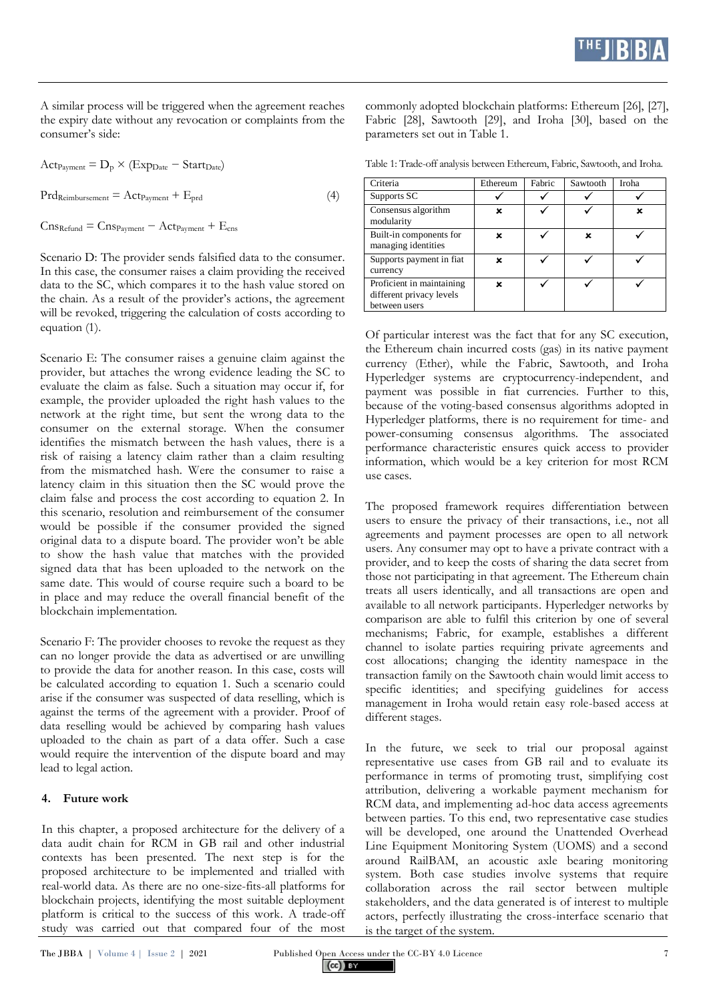A similar process will be triggered when the agreement reaches the expiry date without any revocation or complaints from the consumer's side:

 $Act_{Payment} = D_p \times (Exp_{Date} - Start_{Date})$  $Prd_{Rembursement} = Act_{Payment} + E_{prd}$  (4)

 $C$ ns<sub>Refund</sub> =  $C$ ns<sub>Payment</sub> −  $Act_{Payment} + E_{cns}$ 

Scenario D: The provider sends falsified data to the consumer. In this case, the consumer raises a claim providing the received data to the SC, which compares it to the hash value stored on the chain. As a result of the provider's actions, the agreement will be revoked, triggering the calculation of costs according to equation (1).

Scenario E: The consumer raises a genuine claim against the provider, but attaches the wrong evidence leading the SC to evaluate the claim as false. Such a situation may occur if, for example, the provider uploaded the right hash values to the network at the right time, but sent the wrong data to the consumer on the external storage. When the consumer identifies the mismatch between the hash values, there is a risk of raising a latency claim rather than a claim resulting from the mismatched hash. Were the consumer to raise a latency claim in this situation then the SC would prove the claim false and process the cost according to equation 2. In this scenario, resolution and reimbursement of the consumer would be possible if the consumer provided the signed original data to a dispute board. The provider won't be able to show the hash value that matches with the provided signed data that has been uploaded to the network on the same date. This would of course require such a board to be in place and may reduce the overall financial benefit of the blockchain implementation.

Scenario F: The provider chooses to revoke the request as they can no longer provide the data as advertised or are unwilling to provide the data for another reason. In this case, costs will be calculated according to equation 1. Such a scenario could arise if the consumer was suspected of data reselling, which is against the terms of the agreement with a provider. Proof of data reselling would be achieved by comparing hash values uploaded to the chain as part of a data offer. Such a case would require the intervention of the dispute board and may lead to legal action.

#### **4. Future work**

In this chapter, a proposed architecture for the delivery of a data audit chain for RCM in GB rail and other industrial contexts has been presented. The next step is for the proposed architecture to be implemented and trialled with real-world data. As there are no one-size-fits-all platforms for blockchain projects, identifying the most suitable deployment platform is critical to the success of this work. A trade-off study was carried out that compared four of the most

commonly adopted blockchain platforms: Ethereum [26], [27], Fabric [28], Sawtooth [29], and Iroha [30], based on the parameters set out in Table 1.

Table 1: Trade-off analysis between Ethereum, Fabric, Sawtooth, and Iroha.

| Criteria                                                               | Ethereum | Fabric | Sawtooth | Iroha |
|------------------------------------------------------------------------|----------|--------|----------|-------|
| Supports SC                                                            |          |        |          |       |
| Consensus algorithm<br>modularity                                      | ×        |        |          | ×     |
| Built-in components for<br>managing identities                         | x        |        | x        |       |
| Supports payment in fiat<br>currency                                   | ×        |        |          |       |
| Proficient in maintaining<br>different privacy levels<br>between users | x        |        |          |       |

Of particular interest was the fact that for any SC execution, the Ethereum chain incurred costs (gas) in its native payment currency (Ether), while the Fabric, Sawtooth, and Iroha Hyperledger systems are cryptocurrency-independent, and payment was possible in fiat currencies. Further to this, because of the voting-based consensus algorithms adopted in Hyperledger platforms, there is no requirement for time- and power-consuming consensus algorithms. The associated performance characteristic ensures quick access to provider information, which would be a key criterion for most RCM use cases.

The proposed framework requires differentiation between users to ensure the privacy of their transactions, i.e., not all agreements and payment processes are open to all network users. Any consumer may opt to have a private contract with a provider, and to keep the costs of sharing the data secret from those not participating in that agreement. The Ethereum chain treats all users identically, and all transactions are open and available to all network participants. Hyperledger networks by comparison are able to fulfil this criterion by one of several mechanisms; Fabric, for example, establishes a different channel to isolate parties requiring private agreements and cost allocations; changing the identity namespace in the transaction family on the Sawtooth chain would limit access to specific identities; and specifying guidelines for access management in Iroha would retain easy role-based access at different stages.

In the future, we seek to trial our proposal against representative use cases from GB rail and to evaluate its performance in terms of promoting trust, simplifying cost attribution, delivering a workable payment mechanism for RCM data, and implementing ad-hoc data access agreements between parties. To this end, two representative case studies will be developed, one around the Unattended Overhead Line Equipment Monitoring System (UOMS) and a second around RailBAM, an acoustic axle bearing monitoring system. Both case studies involve systems that require collaboration across the rail sector between multiple stakeholders, and the data generated is of interest to multiple actors, perfectly illustrating the cross-interface scenario that is the target of the system.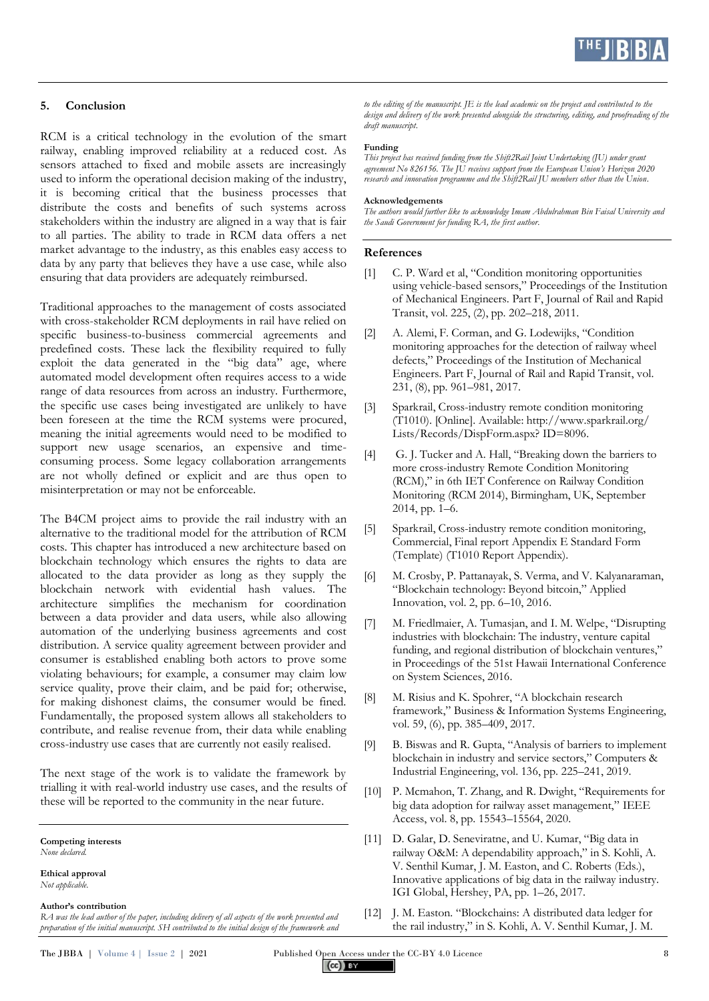

#### **5. Conclusion**

RCM is a critical technology in the evolution of the smart railway, enabling improved reliability at a reduced cost. As sensors attached to fixed and mobile assets are increasingly used to inform the operational decision making of the industry, it is becoming critical that the business processes that distribute the costs and benefits of such systems across stakeholders within the industry are aligned in a way that is fair to all parties. The ability to trade in RCM data offers a net market advantage to the industry, as this enables easy access to data by any party that believes they have a use case, while also ensuring that data providers are adequately reimbursed.

Traditional approaches to the management of costs associated with cross-stakeholder RCM deployments in rail have relied on specific business-to-business commercial agreements and predefined costs. These lack the flexibility required to fully exploit the data generated in the "big data" age, where automated model development often requires access to a wide range of data resources from across an industry. Furthermore, the specific use cases being investigated are unlikely to have been foreseen at the time the RCM systems were procured, meaning the initial agreements would need to be modified to support new usage scenarios, an expensive and timeconsuming process. Some legacy collaboration arrangements are not wholly defined or explicit and are thus open to misinterpretation or may not be enforceable.

The B4CM project aims to provide the rail industry with an alternative to the traditional model for the attribution of RCM costs. This chapter has introduced a new architecture based on blockchain technology which ensures the rights to data are allocated to the data provider as long as they supply the blockchain network with evidential hash values. The architecture simplifies the mechanism for coordination between a data provider and data users, while also allowing automation of the underlying business agreements and cost distribution. A service quality agreement between provider and consumer is established enabling both actors to prove some violating behaviours; for example, a consumer may claim low service quality, prove their claim, and be paid for; otherwise, for making dishonest claims, the consumer would be fined. Fundamentally, the proposed system allows all stakeholders to contribute, and realise revenue from, their data while enabling cross-industry use cases that are currently not easily realised.

The next stage of the work is to validate the framework by trialling it with real-world industry use cases, and the results of these will be reported to the community in the near future.

**Ethical approval** *Not applicable.*

#### **Author's contribution**

*RA was the lead author of the paper, including delivery of all aspects of the work presented and preparation of the initial manuscript. SH contributed to the initial design of the framework and*  *to the editing of the manuscript. JE is the lead academic on the project and contributed to the design and delivery of the work presented alongside the structuring, editing, and proofreading of the draft manuscript.*

#### **Funding**

*This project has received funding from the Shift2Rail Joint Undertaking (JU) under grant agreement No 826156. The JU receives support from the European Union's Horizon 2020 research and innovation programme and the Shift2Rail JU members other than the Union.*

#### **Acknowledgements**

*The authors would further like to acknowledge Imam Abdulrahman Bin Faisal University and the Saudi Government for funding RA, the first author.*

#### **References**

- [1] C. P. Ward et al, "Condition monitoring opportunities using vehicle-based sensors," Proceedings of the Institution of Mechanical Engineers. Part F, Journal of Rail and Rapid Transit, vol. 225, (2), pp. 202–218, 2011.
- [2] A. Alemi, F. Corman, and G. Lodewijks, "Condition monitoring approaches for the detection of railway wheel defects," Proceedings of the Institution of Mechanical Engineers. Part F, Journal of Rail and Rapid Transit, vol. 231, (8), pp. 961–981, 2017.
- [3] Sparkrail, Cross-industry remote condition monitoring (T1010). [Online]. Available: http://www.sparkrail.org/ Lists/Records/DispForm.aspx? ID=8096.
- [4] G. J. Tucker and A. Hall, "Breaking down the barriers to more cross-industry Remote Condition Monitoring (RCM)," in 6th IET Conference on Railway Condition Monitoring (RCM 2014), Birmingham, UK, September 2014, pp. 1–6.
- [5] Sparkrail, Cross-industry remote condition monitoring, Commercial, Final report Appendix E Standard Form (Template) (T1010 Report Appendix).
- [6] M. Crosby, P. Pattanayak, S. Verma, and V. Kalyanaraman, "Blockchain technology: Beyond bitcoin," Applied Innovation, vol. 2, pp. 6–10, 2016.
- [7] M. Friedlmaier, A. Tumasjan, and I. M. Welpe, "Disrupting industries with blockchain: The industry, venture capital funding, and regional distribution of blockchain ventures," in Proceedings of the 51st Hawaii International Conference on System Sciences, 2016.
- [8] M. Risius and K. Spohrer, "A blockchain research framework," Business & Information Systems Engineering, vol. 59, (6), pp. 385–409, 2017.
- [9] B. Biswas and R. Gupta, "Analysis of barriers to implement blockchain in industry and service sectors," Computers & Industrial Engineering, vol. 136, pp. 225–241, 2019.
- [10] P. Mcmahon, T. Zhang, and R. Dwight, "Requirements for big data adoption for railway asset management," IEEE Access, vol. 8, pp. 15543–15564, 2020.
- [11] D. Galar, D. Seneviratne, and U. Kumar, "Big data in railway O&M: A dependability approach," in S. Kohli, A. V. Senthil Kumar, J. M. Easton, and C. Roberts (Eds.), Innovative applications of big data in the railway industry. IGI Global, Hershey, PA, pp. 1–26, 2017.
- [12] J. M. Easton. "Blockchains: A distributed data ledger for the rail industry," in S. Kohli, A. V. Senthil Kumar, J. M.

**Competing interests** *None declared.*